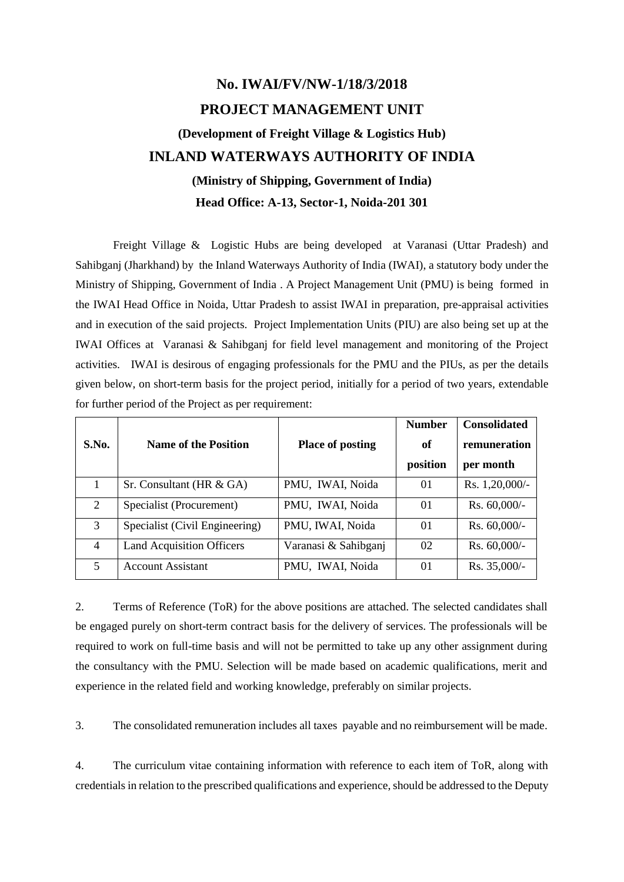# **No. IWAI/FV/NW-1/18/3/2018 PROJECT MANAGEMENT UNIT (Development of Freight Village & Logistics Hub) INLAND WATERWAYS AUTHORITY OF INDIA (Ministry of Shipping, Government of India) Head Office: A-13, Sector-1, Noida-201 301**

Freight Village & Logistic Hubs are being developed at Varanasi (Uttar Pradesh) and Sahibganj (Jharkhand) by the Inland Waterways Authority of India (IWAI), a statutory body under the Ministry of Shipping, Government of India . A Project Management Unit (PMU) is being formed in the IWAI Head Office in Noida, Uttar Pradesh to assist IWAI in preparation, pre-appraisal activities and in execution of the said projects. Project Implementation Units (PIU) are also being set up at the IWAI Offices at Varanasi & Sahibganj for field level management and monitoring of the Project activities. IWAI is desirous of engaging professionals for the PMU and the PIUs, as per the details given below, on short-term basis for the project period, initially for a period of two years, extendable for further period of the Project as per requirement:

|                |                                  |                         | <b>Number</b>  | <b>Consolidated</b> |
|----------------|----------------------------------|-------------------------|----------------|---------------------|
| S.No.          | <b>Name of the Position</b>      | <b>Place of posting</b> | of             | remuneration        |
|                |                                  |                         | position       | per month           |
|                | Sr. Consultant (HR & GA)         | PMU, IWAI, Noida        | 01             | Rs. $1,20,000/-$    |
| 2              | Specialist (Procurement)         | PMU, IWAI, Noida        | 01             | Rs. $60,000/-$      |
| 3              | Specialist (Civil Engineering)   | PMU, IWAI, Noida        | $\Omega$       | Rs. $60,000/-$      |
| $\overline{4}$ | <b>Land Acquisition Officers</b> | Varanasi & Sahibganj    | 02             | Rs. $60,000/-$      |
| 5              | <b>Account Assistant</b>         | PMU, IWAI, Noida        | 0 <sub>1</sub> | Rs. 35,000/-        |

2. Terms of Reference (ToR) for the above positions are attached. The selected candidates shall be engaged purely on short-term contract basis for the delivery of services. The professionals will be required to work on full-time basis and will not be permitted to take up any other assignment during the consultancy with the PMU. Selection will be made based on academic qualifications, merit and experience in the related field and working knowledge, preferably on similar projects.

3. The consolidated remuneration includes all taxes payable and no reimbursement will be made.

4. The curriculum vitae containing information with reference to each item of ToR, along with credentials in relation to the prescribed qualifications and experience, should be addressed to the Deputy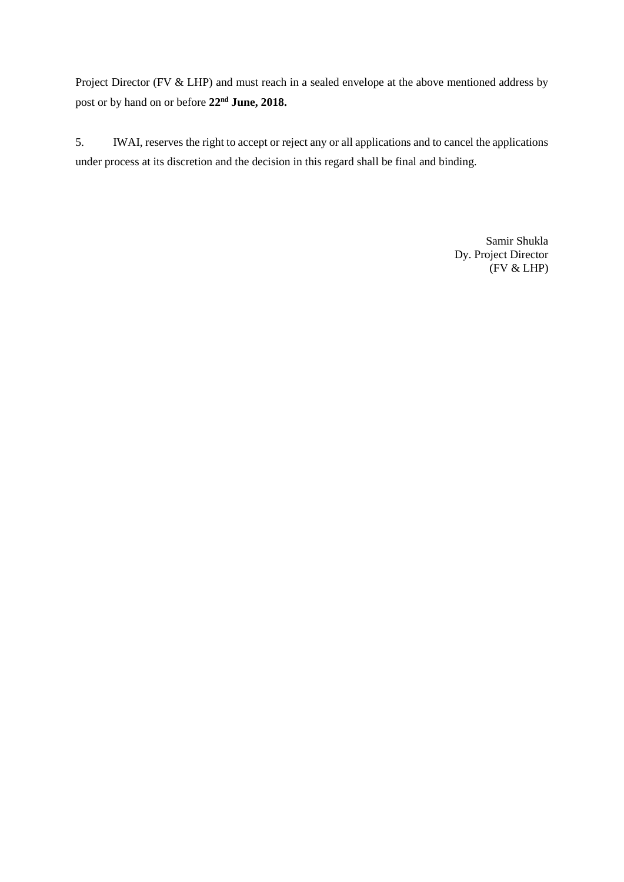Project Director (FV & LHP) and must reach in a sealed envelope at the above mentioned address by post or by hand on or before **22nd June, 2018.**

5. IWAI, reserves the right to accept or reject any or all applications and to cancel the applications under process at its discretion and the decision in this regard shall be final and binding.

> Samir Shukla Dy. Project Director (FV & LHP)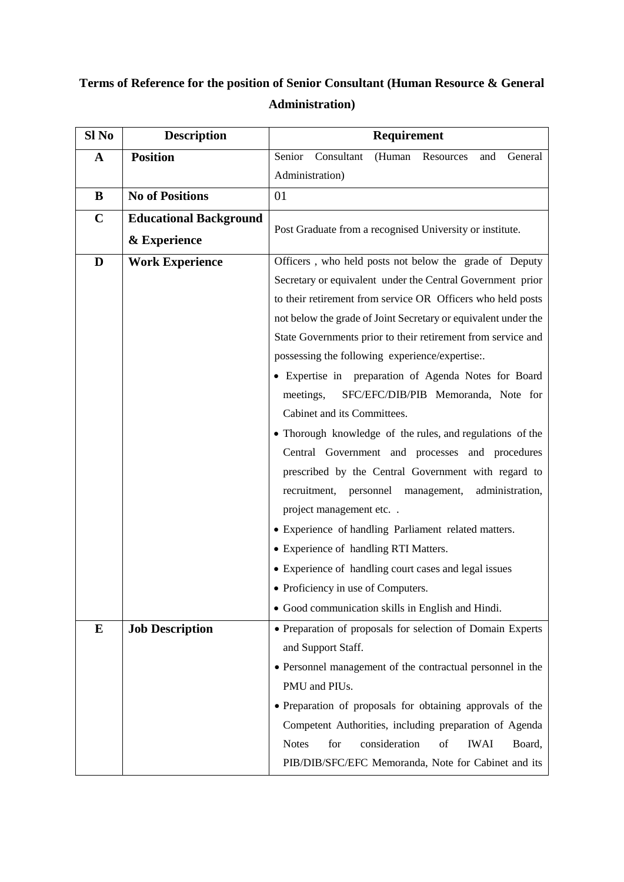## **Terms of Reference for the position of Senior Consultant (Human Resource & General Administration)**

| Sl No       | <b>Description</b>            | Requirement                                                         |
|-------------|-------------------------------|---------------------------------------------------------------------|
| $\mathbf A$ | <b>Position</b>               | Senior<br>Consultant<br>(Human Resources<br>General<br>and          |
|             |                               | Administration)                                                     |
| B           | <b>No of Positions</b>        | 01                                                                  |
| $\mathbf C$ | <b>Educational Background</b> |                                                                     |
|             | & Experience                  | Post Graduate from a recognised University or institute.            |
| D           | <b>Work Experience</b>        | Officers, who held posts not below the grade of Deputy              |
|             |                               | Secretary or equivalent under the Central Government prior          |
|             |                               | to their retirement from service OR Officers who held posts         |
|             |                               | not below the grade of Joint Secretary or equivalent under the      |
|             |                               | State Governments prior to their retirement from service and        |
|             |                               | possessing the following experience/expertise:.                     |
|             |                               | · Expertise in preparation of Agenda Notes for Board                |
|             |                               | SFC/EFC/DIB/PIB Memoranda, Note for<br>meetings,                    |
|             |                               | Cabinet and its Committees.                                         |
|             |                               | • Thorough knowledge of the rules, and regulations of the           |
|             |                               | Central Government and processes and procedures                     |
|             |                               | prescribed by the Central Government with regard to                 |
|             |                               | recruitment, personnel management,<br>administration,               |
|             |                               | project management etc                                              |
|             |                               | • Experience of handling Parliament related matters.                |
|             |                               | • Experience of handling RTI Matters.                               |
|             |                               | • Experience of handling court cases and legal issues               |
|             |                               | • Proficiency in use of Computers.                                  |
|             |                               | • Good communication skills in English and Hindi.                   |
| E           | <b>Job Description</b>        | • Preparation of proposals for selection of Domain Experts          |
|             |                               | and Support Staff.                                                  |
|             |                               | • Personnel management of the contractual personnel in the          |
|             |                               | PMU and PIUs.                                                       |
|             |                               | • Preparation of proposals for obtaining approvals of the           |
|             |                               | Competent Authorities, including preparation of Agenda              |
|             |                               | for<br>consideration<br><b>Notes</b><br>of<br><b>IWAI</b><br>Board, |
|             |                               | PIB/DIB/SFC/EFC Memoranda, Note for Cabinet and its                 |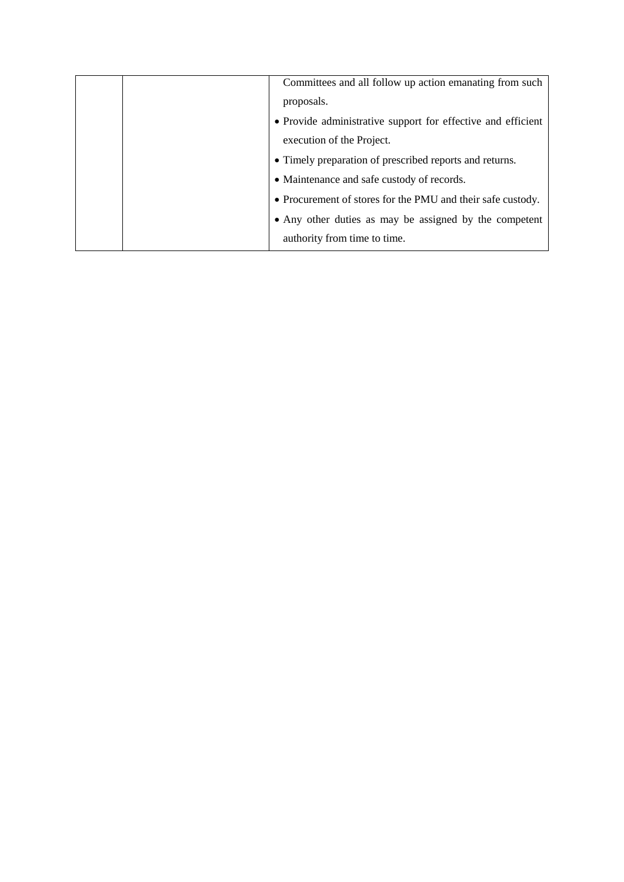|  | Committees and all follow up action emanating from such      |
|--|--------------------------------------------------------------|
|  | proposals.                                                   |
|  | • Provide administrative support for effective and efficient |
|  | execution of the Project.                                    |
|  | • Timely preparation of prescribed reports and returns.      |
|  | • Maintenance and safe custody of records.                   |
|  | • Procurement of stores for the PMU and their safe custody.  |
|  | • Any other duties as may be assigned by the competent       |
|  | authority from time to time.                                 |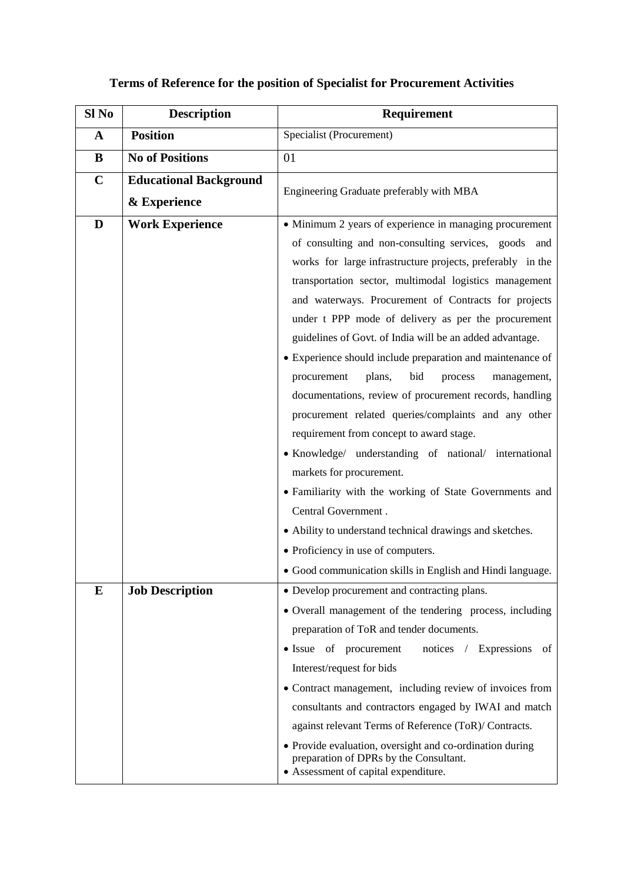### **Terms of Reference for the position of Specialist for Procurement Activities**

| Sl <sub>No</sub> | <b>Description</b>            | <b>Requirement</b>                                                                                                                                                                                                                                                                                                                                                                                                                                                                                                                                                                                                                                                                                                                                                                             |
|------------------|-------------------------------|------------------------------------------------------------------------------------------------------------------------------------------------------------------------------------------------------------------------------------------------------------------------------------------------------------------------------------------------------------------------------------------------------------------------------------------------------------------------------------------------------------------------------------------------------------------------------------------------------------------------------------------------------------------------------------------------------------------------------------------------------------------------------------------------|
| $\mathbf{A}$     | <b>Position</b>               | Specialist (Procurement)                                                                                                                                                                                                                                                                                                                                                                                                                                                                                                                                                                                                                                                                                                                                                                       |
| B                | <b>No of Positions</b>        | 01                                                                                                                                                                                                                                                                                                                                                                                                                                                                                                                                                                                                                                                                                                                                                                                             |
| $\mathbf C$      | <b>Educational Background</b> |                                                                                                                                                                                                                                                                                                                                                                                                                                                                                                                                                                                                                                                                                                                                                                                                |
|                  | & Experience                  | Engineering Graduate preferably with MBA                                                                                                                                                                                                                                                                                                                                                                                                                                                                                                                                                                                                                                                                                                                                                       |
| D                | <b>Work Experience</b>        | • Minimum 2 years of experience in managing procurement<br>of consulting and non-consulting services, goods and<br>works for large infrastructure projects, preferably in the<br>transportation sector, multimodal logistics management<br>and waterways. Procurement of Contracts for projects<br>under t PPP mode of delivery as per the procurement<br>guidelines of Govt. of India will be an added advantage.<br>• Experience should include preparation and maintenance of<br>plans,<br>bid<br>procurement<br>process<br>management,<br>documentations, review of procurement records, handling<br>procurement related queries/complaints and any other<br>requirement from concept to award stage.<br>• Knowledge/ understanding of national/ international<br>markets for procurement. |
|                  |                               | • Familiarity with the working of State Governments and<br>Central Government.<br>• Ability to understand technical drawings and sketches.<br>• Proficiency in use of computers.<br>• Good communication skills in English and Hindi language.                                                                                                                                                                                                                                                                                                                                                                                                                                                                                                                                                 |
| E                | <b>Job Description</b>        | • Develop procurement and contracting plans.<br>• Overall management of the tendering process, including<br>preparation of ToR and tender documents.<br>• Issue of procurement<br>notices / Expressions<br>of<br>Interest/request for bids<br>• Contract management, including review of invoices from<br>consultants and contractors engaged by IWAI and match<br>against relevant Terms of Reference (ToR)/ Contracts.<br>• Provide evaluation, oversight and co-ordination during<br>preparation of DPRs by the Consultant.<br>• Assessment of capital expenditure.                                                                                                                                                                                                                         |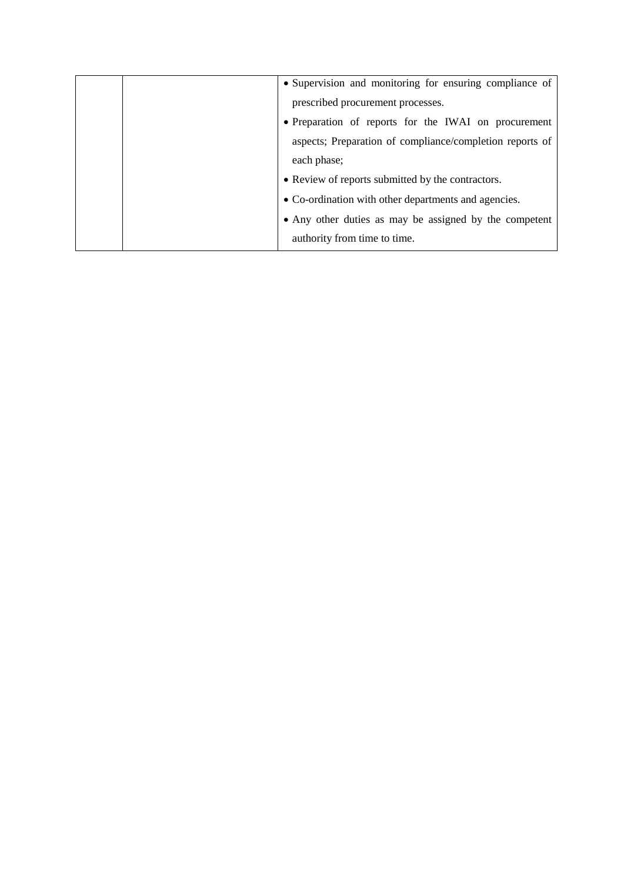|  | • Supervision and monitoring for ensuring compliance of  |
|--|----------------------------------------------------------|
|  | prescribed procurement processes.                        |
|  | • Preparation of reports for the IWAI on procurement     |
|  | aspects; Preparation of compliance/completion reports of |
|  | each phase;                                              |
|  | • Review of reports submitted by the contractors.        |
|  | • Co-ordination with other departments and agencies.     |
|  | • Any other duties as may be assigned by the competent   |
|  | authority from time to time.                             |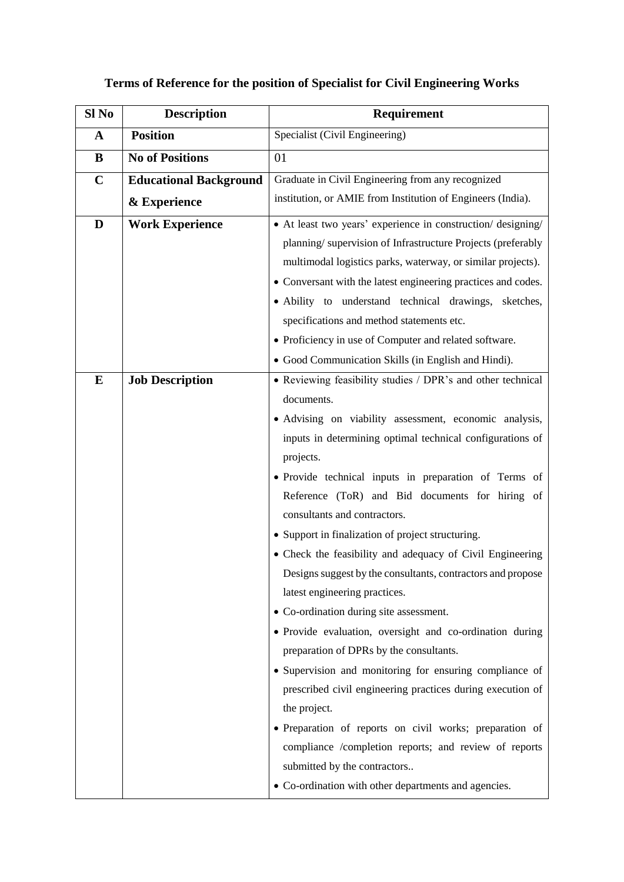### **Terms of Reference for the position of Specialist for Civil Engineering Works**

| Sl No       | <b>Description</b>            | <b>Requirement</b>                                                                                                                                                                                                                                                                                                                                                                                                                                                                                                                                                                                                                                                                                                                                                                                                                                                                                                                                                                                                                                                                 |
|-------------|-------------------------------|------------------------------------------------------------------------------------------------------------------------------------------------------------------------------------------------------------------------------------------------------------------------------------------------------------------------------------------------------------------------------------------------------------------------------------------------------------------------------------------------------------------------------------------------------------------------------------------------------------------------------------------------------------------------------------------------------------------------------------------------------------------------------------------------------------------------------------------------------------------------------------------------------------------------------------------------------------------------------------------------------------------------------------------------------------------------------------|
| $\mathbf A$ | <b>Position</b>               | Specialist (Civil Engineering)                                                                                                                                                                                                                                                                                                                                                                                                                                                                                                                                                                                                                                                                                                                                                                                                                                                                                                                                                                                                                                                     |
| $\bf{B}$    | <b>No of Positions</b>        | 01                                                                                                                                                                                                                                                                                                                                                                                                                                                                                                                                                                                                                                                                                                                                                                                                                                                                                                                                                                                                                                                                                 |
| $\mathbf C$ | <b>Educational Background</b> | Graduate in Civil Engineering from any recognized                                                                                                                                                                                                                                                                                                                                                                                                                                                                                                                                                                                                                                                                                                                                                                                                                                                                                                                                                                                                                                  |
|             | & Experience                  | institution, or AMIE from Institution of Engineers (India).                                                                                                                                                                                                                                                                                                                                                                                                                                                                                                                                                                                                                                                                                                                                                                                                                                                                                                                                                                                                                        |
| D           | <b>Work Experience</b>        | • At least two years' experience in construction/ designing/<br>planning/supervision of Infrastructure Projects (preferably<br>multimodal logistics parks, waterway, or similar projects).<br>• Conversant with the latest engineering practices and codes.<br>· Ability to understand technical drawings, sketches,<br>specifications and method statements etc.<br>• Proficiency in use of Computer and related software.<br>• Good Communication Skills (in English and Hindi).                                                                                                                                                                                                                                                                                                                                                                                                                                                                                                                                                                                                 |
| ${\bf E}$   | <b>Job Description</b>        | • Reviewing feasibility studies / DPR's and other technical<br>documents.<br>• Advising on viability assessment, economic analysis,<br>inputs in determining optimal technical configurations of<br>projects.<br>• Provide technical inputs in preparation of Terms of<br>Reference (ToR) and Bid documents for hiring of<br>consultants and contractors.<br>• Support in finalization of project structuring.<br>• Check the feasibility and adequacy of Civil Engineering<br>Designs suggest by the consultants, contractors and propose<br>latest engineering practices.<br>• Co-ordination during site assessment.<br>· Provide evaluation, oversight and co-ordination during<br>preparation of DPRs by the consultants.<br>• Supervision and monitoring for ensuring compliance of<br>prescribed civil engineering practices during execution of<br>the project.<br>· Preparation of reports on civil works; preparation of<br>compliance /completion reports; and review of reports<br>submitted by the contractors<br>• Co-ordination with other departments and agencies. |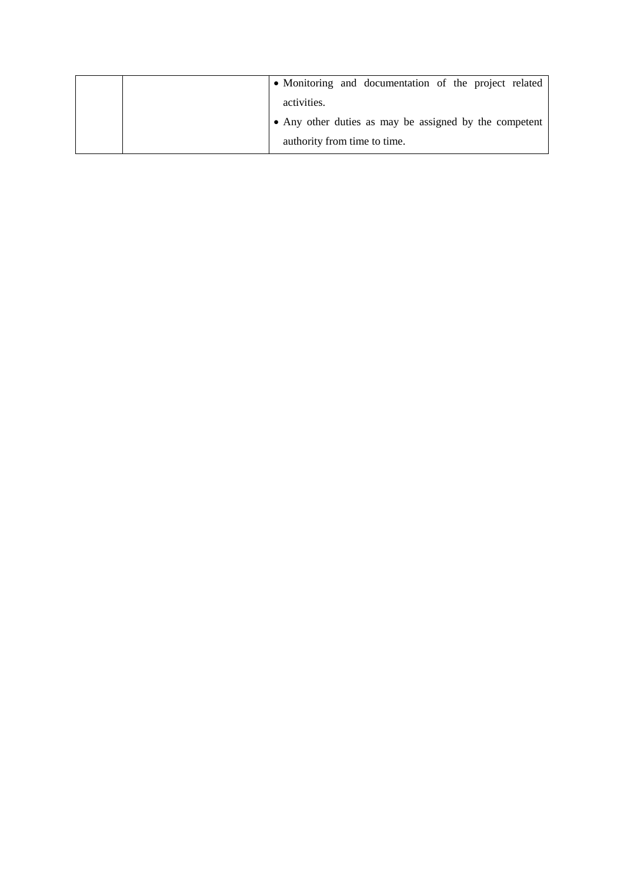|  | • Monitoring and documentation of the project related  |
|--|--------------------------------------------------------|
|  | activities.                                            |
|  | • Any other duties as may be assigned by the competent |
|  | authority from time to time.                           |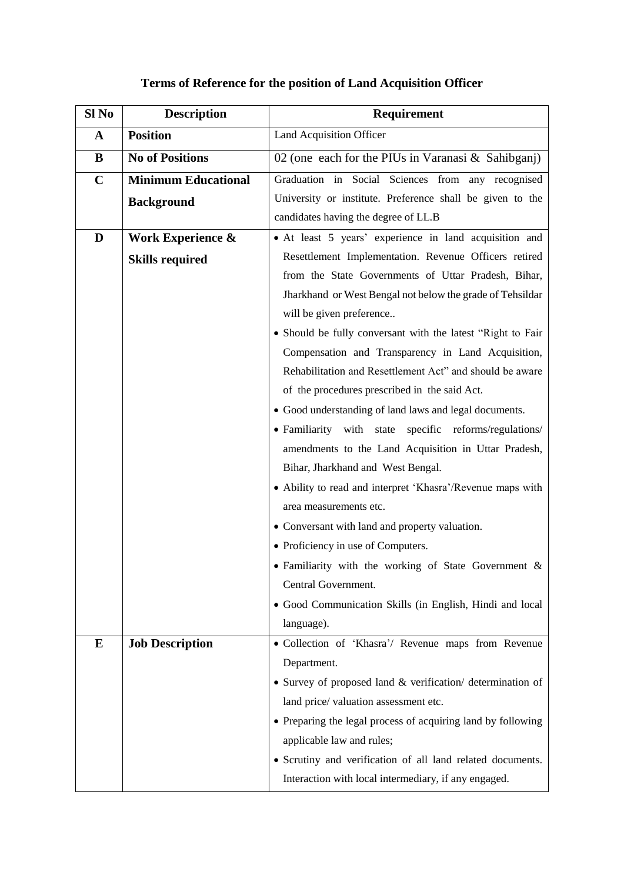| Sl No       | <b>Description</b>         | <b>Requirement</b>                                                                   |
|-------------|----------------------------|--------------------------------------------------------------------------------------|
| $\mathbf A$ | <b>Position</b>            | <b>Land Acquisition Officer</b>                                                      |
| B           | <b>No of Positions</b>     | 02 (one each for the PIUs in Varanasi $\&$ Sahibganj)                                |
| $\mathbf C$ | <b>Minimum Educational</b> | Graduation in Social Sciences from any recognised                                    |
|             | <b>Background</b>          | University or institute. Preference shall be given to the                            |
|             |                            | candidates having the degree of LL.B                                                 |
| D           | Work Experience &          | • At least 5 years' experience in land acquisition and                               |
|             | <b>Skills required</b>     | Resettlement Implementation. Revenue Officers retired                                |
|             |                            | from the State Governments of Uttar Pradesh, Bihar,                                  |
|             |                            | Jharkhand or West Bengal not below the grade of Tehsildar                            |
|             |                            | will be given preference                                                             |
|             |                            | • Should be fully conversant with the latest "Right to Fair                          |
|             |                            | Compensation and Transparency in Land Acquisition,                                   |
|             |                            | Rehabilitation and Resettlement Act" and should be aware                             |
|             |                            | of the procedures prescribed in the said Act.                                        |
|             |                            | • Good understanding of land laws and legal documents.                               |
|             |                            | · Familiarity with state specific reforms/regulations/                               |
|             |                            | amendments to the Land Acquisition in Uttar Pradesh,                                 |
|             |                            | Bihar, Jharkhand and West Bengal.                                                    |
|             |                            | • Ability to read and interpret 'Khasra'/Revenue maps with                           |
|             |                            | area measurements etc.                                                               |
|             |                            | • Conversant with land and property valuation.<br>• Proficiency in use of Computers. |
|             |                            | • Familiarity with the working of State Government &                                 |
|             |                            | Central Government.                                                                  |
|             |                            | · Good Communication Skills (in English, Hindi and local                             |
|             |                            | language).                                                                           |
| E           | <b>Job Description</b>     | · Collection of 'Khasra'/ Revenue maps from Revenue                                  |
|             |                            | Department.                                                                          |
|             |                            | • Survey of proposed land & verification/ determination of                           |
|             |                            | land price/valuation assessment etc.                                                 |
|             |                            | • Preparing the legal process of acquiring land by following                         |
|             |                            | applicable law and rules;                                                            |
|             |                            | • Scrutiny and verification of all land related documents.                           |
|             |                            | Interaction with local intermediary, if any engaged.                                 |

### **Terms of Reference for the position of Land Acquisition Officer**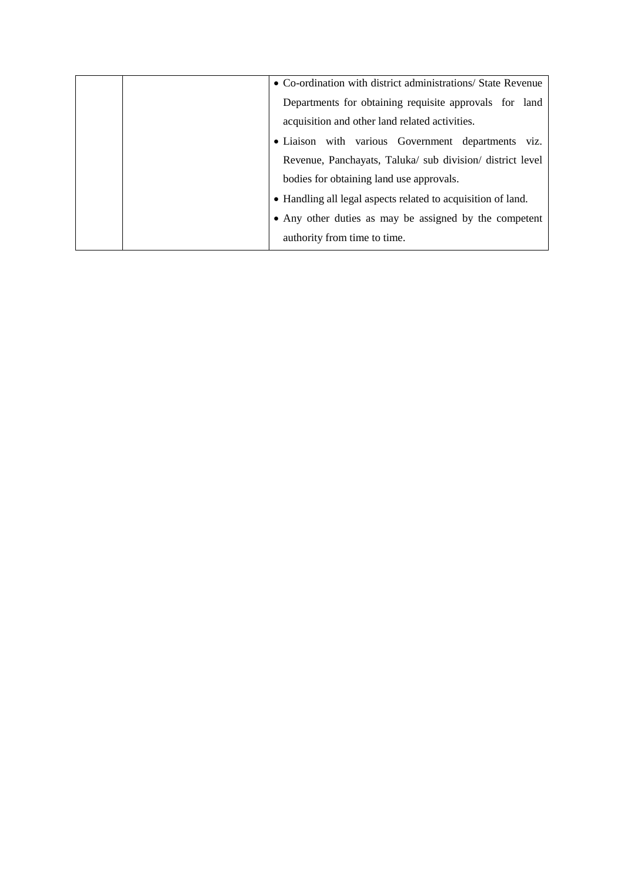|  | • Co-ordination with district administrations/ State Revenue |
|--|--------------------------------------------------------------|
|  | Departments for obtaining requisite approvals for land       |
|  | acquisition and other land related activities.               |
|  | · Liaison with various Government departments viz.           |
|  | Revenue, Panchayats, Taluka/ sub division/ district level    |
|  | bodies for obtaining land use approvals.                     |
|  | • Handling all legal aspects related to acquisition of land. |
|  | • Any other duties as may be assigned by the competent       |
|  | authority from time to time.                                 |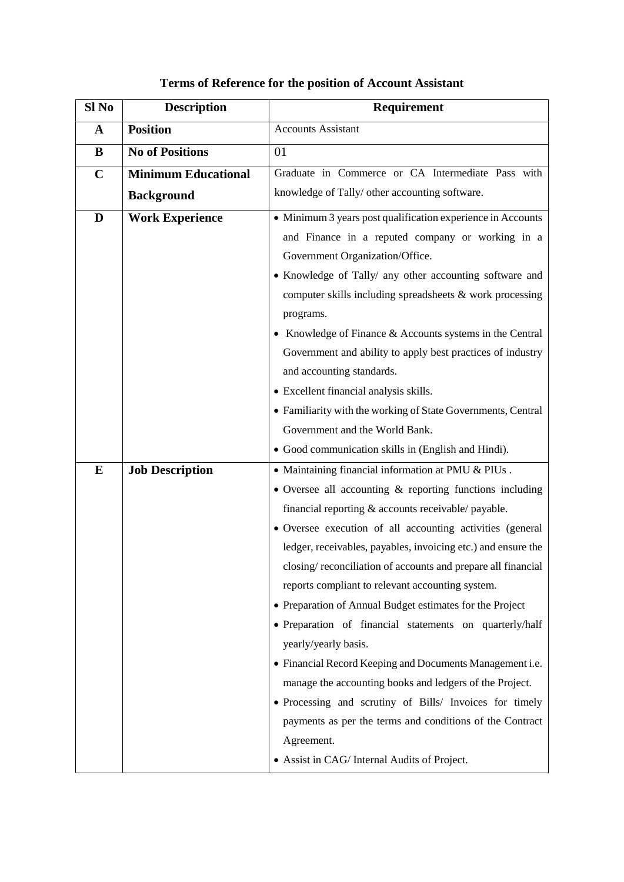| Sl No       | <b>Description</b>         | Requirement                                                   |
|-------------|----------------------------|---------------------------------------------------------------|
| $\mathbf A$ | <b>Position</b>            | <b>Accounts Assistant</b>                                     |
| B           | <b>No of Positions</b>     | 01                                                            |
| $\mathbf C$ | <b>Minimum Educational</b> | Graduate in Commerce or CA Intermediate Pass with             |
|             | <b>Background</b>          | knowledge of Tally/ other accounting software.                |
| D           | <b>Work Experience</b>     | • Minimum 3 years post qualification experience in Accounts   |
|             |                            | and Finance in a reputed company or working in a              |
|             |                            | Government Organization/Office.                               |
|             |                            | • Knowledge of Tally/ any other accounting software and       |
|             |                            | computer skills including spreadsheets & work processing      |
|             |                            | programs.                                                     |
|             |                            | • Knowledge of Finance & Accounts systems in the Central      |
|             |                            | Government and ability to apply best practices of industry    |
|             |                            | and accounting standards.                                     |
|             |                            | • Excellent financial analysis skills.                        |
|             |                            | • Familiarity with the working of State Governments, Central  |
|             |                            | Government and the World Bank.                                |
|             |                            | • Good communication skills in (English and Hindi).           |
| $\bf{E}$    | <b>Job Description</b>     | • Maintaining financial information at PMU & PIUs.            |
|             |                            | • Oversee all accounting $\&$ reporting functions including   |
|             |                            | financial reporting & accounts receivable/ payable.           |
|             |                            | · Oversee execution of all accounting activities (general     |
|             |                            | ledger, receivables, payables, invoicing etc.) and ensure the |
|             |                            | closing/reconciliation of accounts and prepare all financial  |
|             |                            | reports compliant to relevant accounting system.              |
|             |                            | • Preparation of Annual Budget estimates for the Project      |
|             |                            | · Preparation of financial statements on quarterly/half       |
|             |                            | yearly/yearly basis.                                          |
|             |                            | • Financial Record Keeping and Documents Management i.e.      |
|             |                            | manage the accounting books and ledgers of the Project.       |
|             |                            | • Processing and scrutiny of Bills/ Invoices for timely       |
|             |                            | payments as per the terms and conditions of the Contract      |
|             |                            | Agreement.                                                    |
|             |                            | • Assist in CAG/ Internal Audits of Project.                  |

### **Terms of Reference for the position of Account Assistant**